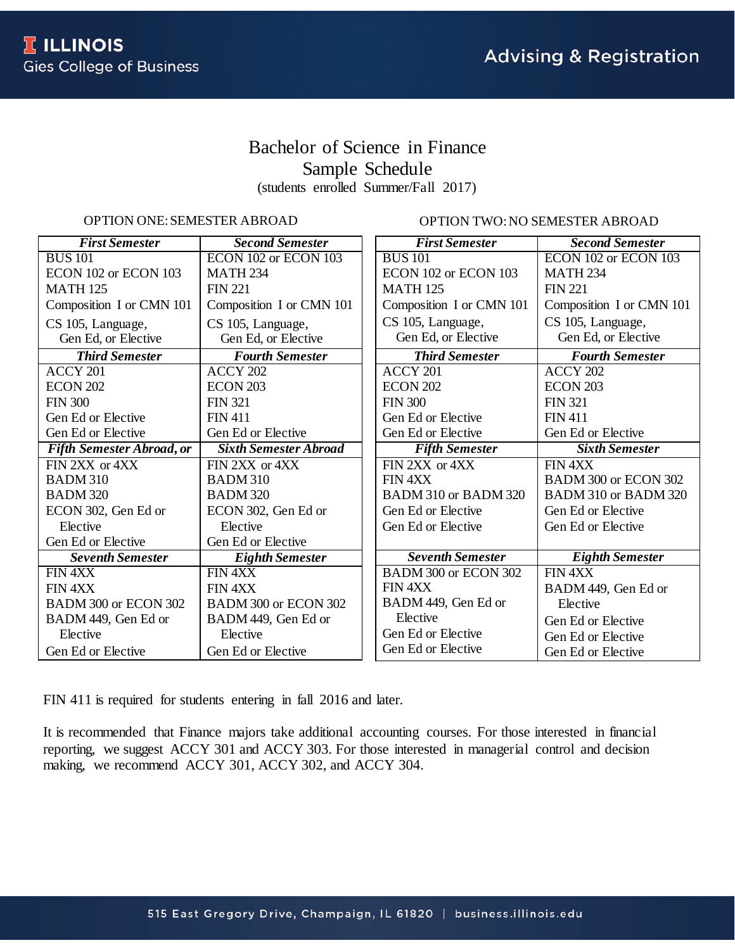# Bachelor of Science in Finance Sample Schedule (students enrolled Summer/Fall 2017)

# OPTION ONE: SEMESTER ABROAD

OPTION TWO: NO SEMESTER ABROAD

| <b>First Semester</b>            | <b>Second Semester</b>       | <b>First Semester</b>    | <b>Second Semester</b>   |
|----------------------------------|------------------------------|--------------------------|--------------------------|
| <b>BUS 101</b>                   | ECON 102 or ECON 103         | <b>BUS</b> 101           | ECON 102 or ECON 103     |
| ECON 102 or ECON 103             | <b>MATH 234</b>              | ECON 102 or ECON 103     | <b>MATH 234</b>          |
| <b>MATH 125</b>                  | <b>FIN 221</b>               | <b>MATH 125</b>          | <b>FIN 221</b>           |
| Composition I or CMN 101         | Composition I or CMN 101     | Composition I or CMN 101 | Composition I or CMN 101 |
| CS 105, Language,                | CS 105, Language,            | CS 105, Language,        | CS 105, Language,        |
| Gen Ed, or Elective              | Gen Ed, or Elective          | Gen Ed, or Elective      | Gen Ed, or Elective      |
| <b>Third Semester</b>            | <b>Fourth Semester</b>       | <b>Third Semester</b>    | <b>Fourth Semester</b>   |
| ACCY 201                         | ACCY 202                     | ACCY 201                 | ACCY 202                 |
| <b>ECON 202</b>                  | <b>ECON 203</b>              | <b>ECON 202</b>          | <b>ECON 203</b>          |
| <b>FIN 300</b>                   | <b>FIN 321</b>               | <b>FIN 300</b>           | <b>FIN 321</b>           |
| Gen Ed or Elective               | <b>FIN411</b>                | Gen Ed or Elective       | <b>FIN411</b>            |
| Gen Ed or Elective               | Gen Ed or Elective           | Gen Ed or Elective       | Gen Ed or Elective       |
| <b>Fifth Semester Abroad, or</b> | <b>Sixth Semester Abroad</b> | <b>Fifth Semester</b>    | <b>Sixth Semester</b>    |
| FIN 2XX or 4XX                   | FIN 2XX or 4XX               | FIN 2XX or 4XX           | FIN 4XX                  |
| <b>BADM 310</b>                  | <b>BADM 310</b>              | FIN 4XX                  | BADM 300 or ECON 302     |
| <b>BADM 320</b>                  | <b>BADM 320</b>              | BADM 310 or BADM 320     | BADM 310 or BADM 320     |
| ECON 302, Gen Ed or              | ECON 302, Gen Ed or          | Gen Ed or Elective       | Gen Ed or Elective       |
| Elective                         | Elective                     | Gen Ed or Elective       | Gen Ed or Elective       |
| Gen Ed or Elective               | Gen Ed or Elective           |                          |                          |
| <b>Seventh Semester</b>          | <b>Eighth Semester</b>       | <b>Seventh Semester</b>  | <b>Eighth Semester</b>   |
| FIN 4XX                          | FIN <sub>4XX</sub>           | BADM 300 or ECON 302     | FIN 4XX                  |
| FIN 4XX                          | FIN 4XX                      | FIN 4XX                  | BADM 449, Gen Ed or      |
| BADM 300 or ECON 302             | BADM 300 or ECON 302         | BADM 449, Gen Ed or      | Elective                 |
| BADM 449, Gen Ed or              | BADM 449, Gen Ed or          | Elective                 | Gen Ed or Elective       |
| Elective                         | Elective                     | Gen Ed or Elective       | Gen Ed or Elective       |
| Gen Ed or Elective               | Gen Ed or Elective           | Gen Ed or Elective       | Gen Ed or Elective       |

FIN 411 is required for students entering in fall 2016 and later.

It is recommended that Finance majors take additional accounting courses. For those interested in financial reporting, we suggest ACCY 301 and ACCY 303. For those interested in managerial control and decision making, we recommend ACCY 301, ACCY 302, and ACCY 304.